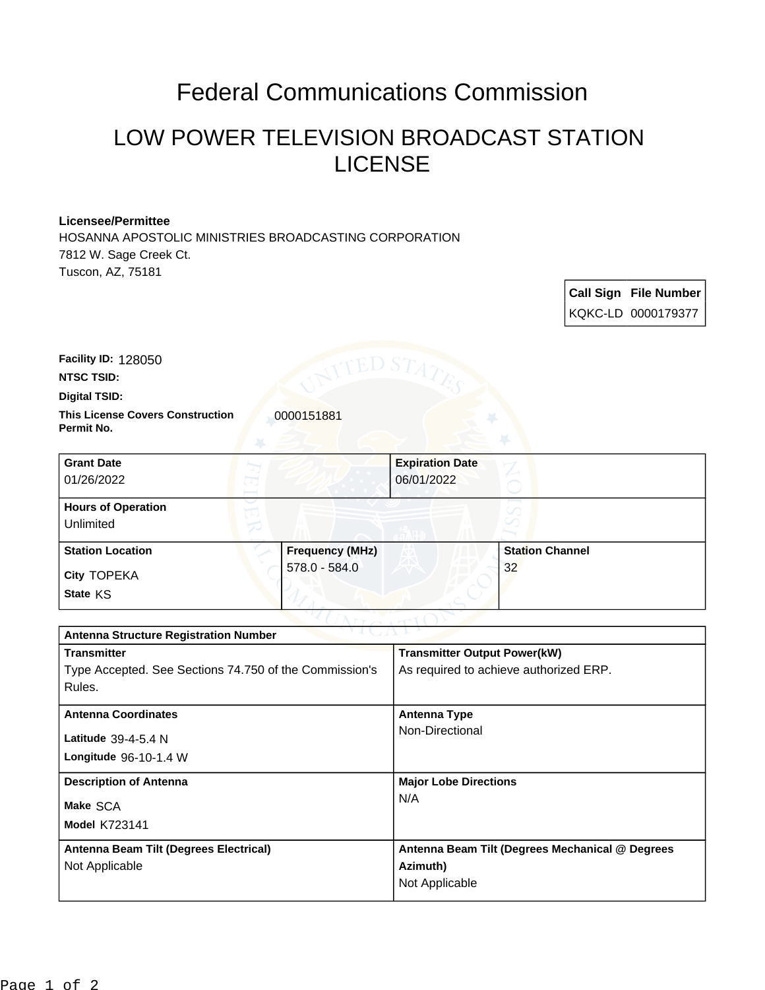## Federal Communications Commission

## LOW POWER TELEVISION BROADCAST STATION LICENSE

## **Licensee/Permittee**

HOSANNA APOSTOLIC MINISTRIES BROADCASTING CORPORATION 7812 W. Sage Creek Ct. Tuscon, AZ, 75181

> **Call Sign File Number** KQKC-LD 0000179377

**NTSC TSID: Facility ID:** 128050

**Digital TSID:**

**This License Covers Construction**  0000151881 **Permit No.**

| <b>Grant Date</b><br>01/26/2022        | <b>Expiration Date</b><br>06/01/2022 |                        |
|----------------------------------------|--------------------------------------|------------------------|
| <b>Hours of Operation</b><br>Unlimited |                                      | v                      |
| <b>Station Location</b>                | <b>Frequency (MHz)</b>               | <b>Station Channel</b> |
| <b>City TOPEKA</b><br>State KS         | 578.0 - 584.0                        | 32                     |

| $\sim$ v $\perp$ ( $\perp$ $\sim$ $\perp$ $\perp$<br><b>Antenna Structure Registration Number</b> |                                                 |  |  |
|---------------------------------------------------------------------------------------------------|-------------------------------------------------|--|--|
| <b>Transmitter</b>                                                                                | <b>Transmitter Output Power(kW)</b>             |  |  |
| Type Accepted. See Sections 74.750 of the Commission's                                            | As required to achieve authorized ERP.          |  |  |
| Rules.                                                                                            |                                                 |  |  |
| <b>Antenna Coordinates</b>                                                                        | <b>Antenna Type</b>                             |  |  |
| Latitude $39-4-5.4$ N                                                                             | Non-Directional                                 |  |  |
| Longitude 96-10-1.4 W                                                                             |                                                 |  |  |
| <b>Description of Antenna</b>                                                                     | <b>Major Lobe Directions</b>                    |  |  |
| Make SCA                                                                                          | N/A                                             |  |  |
| <b>Model K723141</b>                                                                              |                                                 |  |  |
| Antenna Beam Tilt (Degrees Electrical)                                                            | Antenna Beam Tilt (Degrees Mechanical @ Degrees |  |  |
| Not Applicable                                                                                    | Azimuth)                                        |  |  |
|                                                                                                   | Not Applicable                                  |  |  |